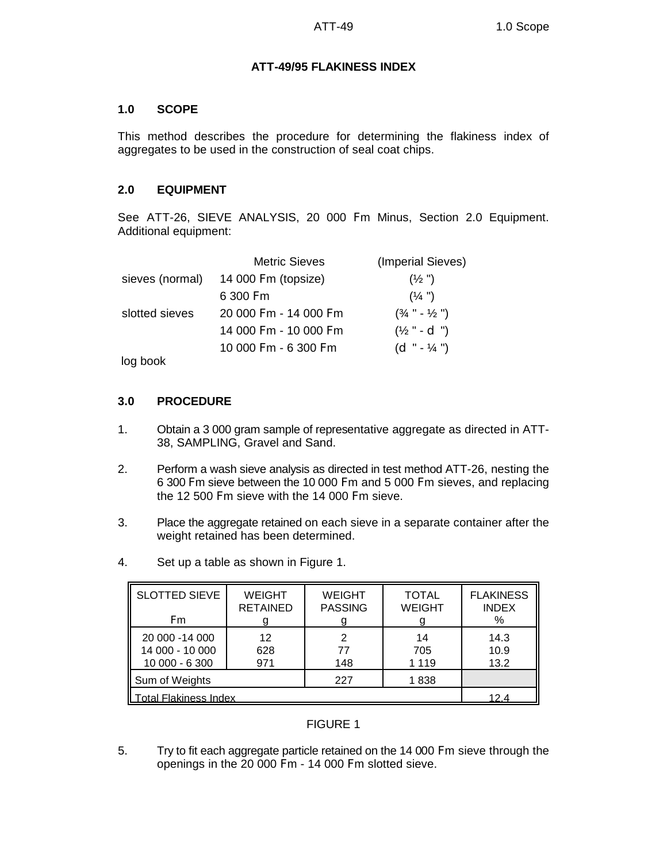# **ATT-49/95 FLAKINESS INDEX**

# **1.0 SCOPE**

This method describes the procedure for determining the flakiness index of aggregates to be used in the construction of seal coat chips.

# **2.0 EQUIPMENT**

See ATT-26, SIEVE ANALYSIS, 20 000 Fm Minus, Section 2.0 Equipment. Additional equipment:

|                 | <b>Metric Sieves</b>  | (Imperial Sieves)                   |
|-----------------|-----------------------|-------------------------------------|
| sieves (normal) | 14 000 Fm (topsize)   | $(\frac{1}{2})$                     |
|                 | 6 300 Fm              | $(\frac{1}{4})$                     |
| slotted sieves  | 20 000 Fm - 14 000 Fm | $(\frac{3}{4}$ " - $\frac{1}{2}$ ") |
|                 | 14 000 Fm - 10 000 Fm | $(\frac{1}{2}$ " - d ")             |
|                 | 10 000 Fm - 6 300 Fm  | $(d'' - 1/4'')$                     |
|                 |                       |                                     |

log book

# **3.0 PROCEDURE**

- 1. Obtain a 3 000 gram sample of representative aggregate as directed in ATT-38, SAMPLING, Gravel and Sand.
- 2. Perform a wash sieve analysis as directed in test method ATT-26, nesting the 6 300 Fm sieve between the 10 000 Fm and 5 000 Fm sieves, and replacing the 12 500 Fm sieve with the 14 000 Fm sieve.
- 3. Place the aggregate retained on each sieve in a separate container after the weight retained has been determined.
- 4. Set up a table as shown in Figure 1.

| <b>SLOTTED SIEVE</b><br>F <sub>m</sub> | <b>WEIGHT</b><br><b>RETAINED</b> | <b>WEIGHT</b><br><b>PASSING</b> | <b>TOTAL</b><br><b>WEIGHT</b> | <b>FLAKINESS</b><br><b>INDEX</b><br>% |
|----------------------------------------|----------------------------------|---------------------------------|-------------------------------|---------------------------------------|
|                                        |                                  |                                 |                               |                                       |
| 20 000 -14 000                         | 12                               | 2                               | 14                            | 14.3                                  |
| 14 000 - 10 000                        | 628                              | 77                              | 705                           | 10.9                                  |
| 10 000 - 6 300                         | 971                              | 148                             | 1 1 1 9                       | 13.2                                  |
| Sum of Weights                         |                                  | 227                             | 1838                          |                                       |
| Total Flakiness Index                  |                                  |                                 |                               | 124                                   |

# FIGURE 1

5. Try to fit each aggregate particle retained on the 14 000 Fm sieve through the openings in the 20 000 Fm - 14 000 Fm slotted sieve.